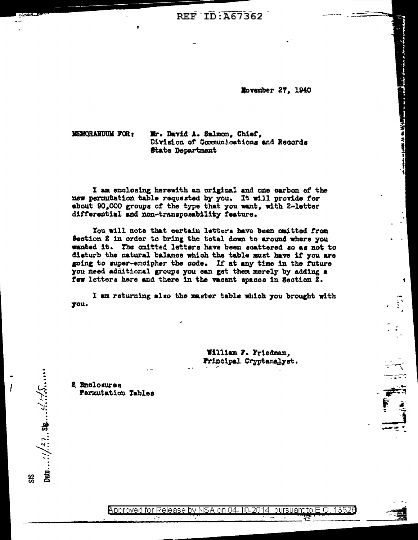REF ID: A67362

Movember 27, 1940

The Company of the State of the Manual Company of the State of the State of the State of the State of the State of the State of the State of the State of the State of the State of the State of the State of the State of the

MEMORANDUM FOR:

Mr. David A. Salmon, Chief, Division of Communications and Records **State Department** 

I am enclosing herewith an original and one carbon of the new permutation table requested by you. It will provide for about 90,000 groups of the type that you want, with 2-letter differential and non-transposability feature.

You will note that certain letters have been cmitted from Section 2 in order to bring the total down to around where you wanted it. The cmitted letters have been soattered so as not to disturb the natural balance which the table must have if you are going to super-encipher the code. If at any time in the future you need additional groups you can get them merely by adding a few letters here and there in the vacant spaces in Section 2.

I am returning also the master table which you brought with you.

> William F. Friedman. Frincipal Cryptanalyst.

2 Enclosures Permutation Tables

Date ...:  $2, 2, 30, \ldots$  ::  $\frac{1}{2}, \frac{1}{2}, \frac{1}{2}, \ldots$ 

SS

Approved for Release by NSA on 04-10-2014 pursuant to E.O. 13526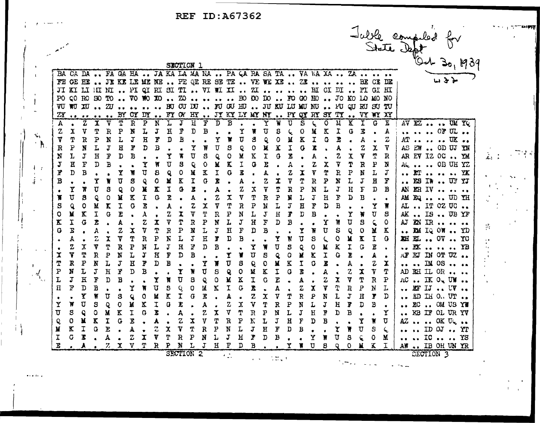REF ID:A67362

|           |                         |                                                                     |              |                  |              |                |                         |              |                           | SECTION 1               |                             |             |                |                              |                              |                      |                            |                       |                |                |           |         |              |                |         |              |                      |  |                                                            | Julie compiled for |  |
|-----------|-------------------------|---------------------------------------------------------------------|--------------|------------------|--------------|----------------|-------------------------|--------------|---------------------------|-------------------------|-----------------------------|-------------|----------------|------------------------------|------------------------------|----------------------|----------------------------|-----------------------|----------------|----------------|-----------|---------|--------------|----------------|---------|--------------|----------------------|--|------------------------------------------------------------|--------------------|--|
|           |                         | BA CA DA  FA GA HA  JA KA LA MA NA  PA CA RA SA TA  VA WA XA  ZA    |              |                  |              |                |                         |              |                           |                         |                             |             |                |                              |                              |                      |                            |                       |                |                |           |         |              |                |         |              |                      |  |                                                            |                    |  |
|           |                         | FE GE HE  JE KE LE ME NE  PE QE RE SE TE  VE WE XE  ZE     BE CE DE |              |                  |              |                |                         |              |                           |                         |                             |             |                |                              |                              |                      |                            |                       |                |                |           |         |              |                |         |              |                      |  |                                                            |                    |  |
|           |                         | JI KI LI HI NI  PI QI RI SI TI  VI WI XI  ZI     HI CI DI  PI GI HI |              |                  |              |                |                         |              |                           |                         |                             |             |                |                              |                              |                      |                            |                       |                |                |           |         |              |                |         |              |                      |  |                                                            |                    |  |
|           |                         | PO QO RO BO TO  VO WO XO  ZO     BO CO DO  FO GO BO  JO KO LO MO NO |              |                  |              |                |                         |              |                           |                         |                             |             |                |                              |                              |                      |                            |                       |                |                |           |         |              |                |         |              |                      |  |                                                            |                    |  |
|           |                         | VU WU XU  2U    BU CU DU  FU GU HU  JU KU LU MU NU  FU GU RU SU TU  |              |                  |              |                |                         |              |                           |                         |                             |             |                |                              |                              |                      |                            |                       |                |                |           |         |              |                |         |              |                      |  |                                                            |                    |  |
|           |                         | $ZY$ BY OX DY  FY OW HY  JY KY LY MY NY  PY QY RY SY TY  VY WY XY   |              |                  |              |                |                         |              |                           |                         |                             |             |                |                              |                              |                      |                            |                       |                |                |           |         |              |                |         |              |                      |  |                                                            |                    |  |
| А         |                         | $\overline{z}$                                                      | $\mathbf{x}$ | V                | T            | $\overline{R}$ | $\mathbf{B}$            | 'N           | ٦.                        | J                       | $\rm H$                     | Ŧ           | $\overline{D}$ | B                            |                              |                      | Ý                          | W                     | U              | S              |           | 0       | $\mathbf{M}$ | K              | I       | G            | E                    |  | AV EZ  UM YQ                                               |                    |  |
| z         | x                       | V                                                                   | Τ            | $\mathbb{R}$     | P            | N              | ī,                      | $\mathbf{J}$ | $\mathbf{H}$              | F                       | $\mathbf D$                 | B           |                |                              | Y                            | W                    | IJ                         | S                     |                | 0              | M         | K       | I            | G              | r,      |              | A                    |  | $\cdots$ $\cdots$ OF UL $\cdots$                           |                    |  |
| ۷         | P                       | $\mathbb{R}$<br>N                                                   | Ρ<br>L       | N<br>J           | L<br>Ε       | J<br>F         | $\mathbf H$<br>D        | F<br>В       | D                         | B                       | γ                           | W           | Y<br>U         | W<br>s                       | $\overline{\mathtt{U}}$<br>Q | S<br>0               | Q                          | 0<br>K                | М<br>I         | Χ<br>G         | I<br>z    | G       | R            |                | А<br>2  | χ            | $\mathbf z$<br>7     |  | $AT \cdots \cdots \overline{UK} \cdots$<br>AS EW  OD UJ YN |                    |  |
| R<br>N    | L                       | J                                                                   | H            | F                | D            | B              |                         |              | Υ                         | π                       | U                           | S           | Q              | $\circ$                      | k                            | $\rm K$              | X<br>I                     | 0                     | Z              |                | A         |         | Ż            | X.             | Y       | Ť            | $\mathbf R$          |  | AR EV IZ OC., YM                                           |                    |  |
| J         | н                       | $\mathbf{F}$                                                        | D            | В                |              |                | Ϋ                       | W            | IJ                        | g                       | Q                           | $\circ$     | N              | K                            | I                            | Q                    | E                          |                       | A              |                | Z         | X       | ÿ            | Τ              | R       | ${\bf P}$    | N                    |  | AG  OB UH YZ                                               |                    |  |
|           | D                       | B                                                                   |              |                  | Y            | Ħ              | IJ                      | 8            | Q                         | 0                       | N                           | 7           | I              | G                            | E                            |                      | А                          |                       | z              | I              | V         | Υ       | R            | ₽              | N       | $\mathbf{r}$ | J                    |  | ET    YK                                                   |                    |  |
| в         |                         |                                                                     | Y            | W                | ΰ            | s              | Q                       | 0            | М                         | $\overline{\mathbf{K}}$ | I                           | G           | È              |                              | A                            | $\bullet$            | 2                          | I                     | V              | Τ              | R         | P       | N            | L              | J       | Η            | F                    |  | E9 IW  UF YJ                                               |                    |  |
|           | Y                       | ₩                                                                   | U            | 8                | Q            | 0              | X                       | X.           | I                         | O                       | I                           |             | А              |                              | Z                            | Х                    | V                          | Τ                     | R              | P              | N         | L       | J            | H              | T       | D            | В                    |  | AN ER IV                                                   |                    |  |
| Т         | $\overline{\mathtt{U}}$ | 8                                                                   | Q            | $\circ$          | M            | K              | I                       | G            | T.                        |                         | A                           |             | Z              | X                            | V                            | Т                    | R                          | P                     | N              | L              | J         | Н       | F            | D              | В       |              |                      |  | AM EQ  UD YH                                               |                    |  |
| 8         | Q                       | 0                                                                   | М            | K                | I            | Q              | E                       |              | A.                        |                         | Z                           | X           | V              | Τ                            | $\mathbf R$                  | P                    | N                          | L                     | $\mathfrak{J}$ | Ε              | F         | D       | В            |                |         | Υ            | π                    |  | AL  IT 0Z UC                                               |                    |  |
| 0         | М                       | $\bf K$                                                             | $\mathbf I$  | Ģ                | E            |                | À                       |              | Z                         | X                       | V                           | T           | $\mathbf R$    | P                            | N                            | I.                   | $\mathfrak{J}$             | $\rm H$               | Ţ              | $\overline{D}$ | $\bf B$   |         |              | Y              | ₩       | U            | S                    |  | AK  IS  UB YF                                              |                    |  |
| X.        | I                       | G                                                                   | E            |                  | A            |                | z                       | x            | V                         | Τ                       | ${\bold R}$                 | ${\bf p}$   | N              | L                            | $\bf J$                      | $\boldsymbol{H}$     | F                          | D                     | В              |                |           | Υ       | Ħ            | U              | 3       | Ç,           | O                    |  | AJ EN IR                                                   |                    |  |
| G         | T<br>А                  |                                                                     | A<br>z       | I                | z<br>Δ       | X<br>Т         | V<br>R                  | Τ<br>P       | ${\tt R}$<br>$\mathbf{F}$ | $\mathbf{P}$<br>L       | $\pmb{N}$<br>$\mathfrak{J}$ | L<br>Η      | J<br>Ţ         | $\, {\bf H}$<br>$\mathbf{D}$ | F<br>В                       | D                    | В                          | Y                     | W              | Y<br>τ         | W<br>S    | U       | S<br>٥       | Q<br>¥         | 0<br>I. | N<br>I       | K<br>G               |  | EM IQ OW  YD<br>XH EL  OV  YO                              |                    |  |
|           | 2                       | χ                                                                   | V            | T                | R            | ₽              | ${\bf N}$               | L            | J                         | $\mathbf H$             | $\vec{\mathrm{r}}$          | D           | В              |                              |                              | Y                    | W                          | U                     | S              | Q              | 0         | ζ.<br>M | K            | I              | G       | E            |                      |  | BK    YB                                                   |                    |  |
| x         | Y                       | Τ                                                                   | $\mathbf R$  | $\mathbf{p}$     | N            | L              | J                       | Η            | F                         | D                       | B                           |             |                | Y                            | ¥                            | $\pmb{\overline{U}}$ | S                          | Q                     | O              | M              | K         | I       | Q            | I.             |         | A            | $\bullet$            |  | AFEJ IN OT UZ                                              |                    |  |
|           | R                       | ${\bf P}$                                                           | N            | Ţ,               | J            | $\, {\bf H}$   | $\overline{\mathbf{x}}$ | $\mathbb D$  | $\mathbf{B}$              |                         |                             | Y           | ¥              | Ū                            | S                            | Q                    | 0                          | $\mathbf M$           | K              | $\mathfrak T$  | Ū         | E       |              | А              |         | Z            | X                    |  | ** ** IM 08 ** **                                          |                    |  |
| P         | у                       | L                                                                   | J            | $\mathbf H$      | Ŷ            | D              | B                       |              |                           | T                       | N                           | U           | 8              | Q                            | 0                            | M                    | K                          | I                     | G              | R              |           | А       | $\bullet$    | $\mathbf{z}$   | x       | V            | Т                    |  | AD RH IL OR                                                |                    |  |
|           | J                       | $\rm H$                                                             | F            | D                | B            |                |                         | Y            | 'n                        | Ū                       | S                           | Q           | ٥              | M                            | K                            | I                    | G                          | E                     |                | A              | $\bullet$ | 2       | χ            | 7              | ፓ       | $\mathbf R$  | P                    |  | AC  IK Ou UW                                               |                    |  |
| П         | P                       | D                                                                   | В            |                  |              | Y              | W                       | IJ           | S                         | Q                       | O                           | lé.         | K              | I                            | G                            | Ã                    |                            | A                     |                | Z              | X         | Ÿ       | T            | R              | P       | N            | L                    |  | EF IJ  UV                                                  |                    |  |
| $\bullet$ |                         | Υ                                                                   | W            | IJ               | S            | Q              | Q                       | М            | K                         | I                       | G                           | E           |                | A                            | $\bullet$                    | Z                    | X                          | V                     | Ţ              | $\bf F$        | ደ         | N       | I,           | $\mathfrak{J}$ | Η       | F            | D                    |  | ED IH 0 UT                                                 |                    |  |
| Y         | ₩                       | π                                                                   | S            | Q                | O            | М              | Κ                       | I            | 0                         | T,                      |                             | A           |                | Z                            | χ                            | Y                    | T                          | R                     | P              | N              | L         | J       | $\mathbf H$  | F              | D       | B            |                      |  | EC  OM US YW                                               |                    |  |
| ΰ         | 8                       | Q<br>x                                                              | 0<br>K       | $\mathbf M$<br>I | $\mathbf{K}$ | I              | $\mathbf G$             | I            |                           | A<br>Z                  | $\mathbf x$                 | Z<br>V      | X              | V<br>$\mathbf R$             | T                            | $\mathbf R$<br>N     | P                          | N<br>${\mathfrak{J}}$ | L              | J<br>F         | $\rm H$   | P<br>B  | D            | B              |         |              | Y                    |  | EB IF OL UR YV                                             |                    |  |
| Q<br>M    | 0<br>$\mathbf K$        | I                                                                   | ٥            | E                | G            | J.<br>A        | $\bullet$               | ٨<br>Ζ       | $\bullet$<br>$\mathbf x$  | Y                       | T                           | $\mathbf R$ | Τ<br>${\bf P}$ | N                            | P<br>L                       | J                    | L<br>$\overline{\text{H}}$ | $\mathbf{f}'$         | H<br>D         | B              | D         |         | γ            | W              | Y<br>U  | γ<br>S       | ņ<br>$\zeta_{\rm g}$ |  | AZ   OK Un<br>$\ldots$ ID OJ $\ldots$ YT                   |                    |  |
| I         | G                       | I                                                                   |              | A                |              | z              | $\bullet$<br>X          | V            | Τ                         | $\mathbf R$             | P                           | N           | Ļ              | J                            | Ц                            | Ţ                    | D                          | $\bf{B}$              |                |                | Y         | Ħ       | U            | 8              | Q       | ٥            | M                    |  | IO   YS                                                    |                    |  |
|           |                         |                                                                     |              | Z                | x            | v              | т                       | R            | P                         | N                       | L                           | J           | $\mathbf H$    | F                            | D                            | B                    |                            |                       |                |                | U         | 8       |              | O              |         | X            |                      |  | AW  IB OH UN YR                                            |                    |  |
|           |                         |                                                                     |              |                  |              |                |                         |              |                           | <b>SECTION 2</b>        |                             |             |                |                              |                              |                      |                            |                       |                |                |           |         |              |                |         |              |                      |  | <b>SECTION 3</b>                                           |                    |  |

tijes p

 $\sim 10$   $\mu$ 

12-18-0-2

 $\mathbf{A}$ 

 $\mathcal{P}_\mathrm{r}$ 

 $\frac{1}{2}$ 

 $\mathbf{r}$ 

 $\sim 0.000$